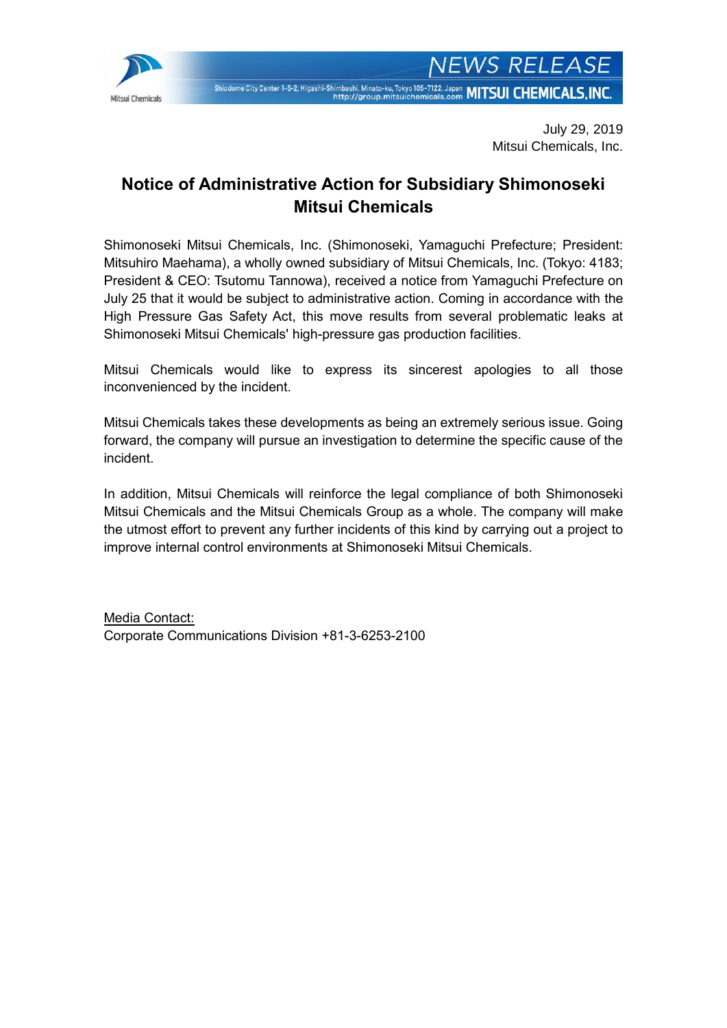

# **Notice of Administrative Action for Subsidiary Shimonoseki Mitsui Chemicals**

Shimonoseki Mitsui Chemicals, Inc. (Shimonoseki, Yamaguchi Prefecture; President: Mitsuhiro Maehama), a wholly owned subsidiary of Mitsui Chemicals, Inc. (Tokyo: 4183; President & CEO: Tsutomu Tannowa), received a notice from Yamaguchi Prefecture on July 25 that it would be subject to administrative action. Coming in accordance with the High Pressure Gas Safety Act, this move results from several problematic leaks at Shimonoseki Mitsui Chemicals' high-pressure gas production facilities.

Mitsui Chemicals would like to express its sincerest apologies to all those inconvenienced by the incident.

Mitsui Chemicals takes these developments as being an extremely serious issue. Going forward, the company will pursue an investigation to determine the specific cause of the incident.

In addition, Mitsui Chemicals will reinforce the legal compliance of both Shimonoseki Mitsui Chemicals and the Mitsui Chemicals Group as a whole. The company will make the utmost effort to prevent any further incidents of this kind by carrying out a project to improve internal control environments at Shimonoseki Mitsui Chemicals.

Media Contact: Corporate Communications Division +81-3-6253-2100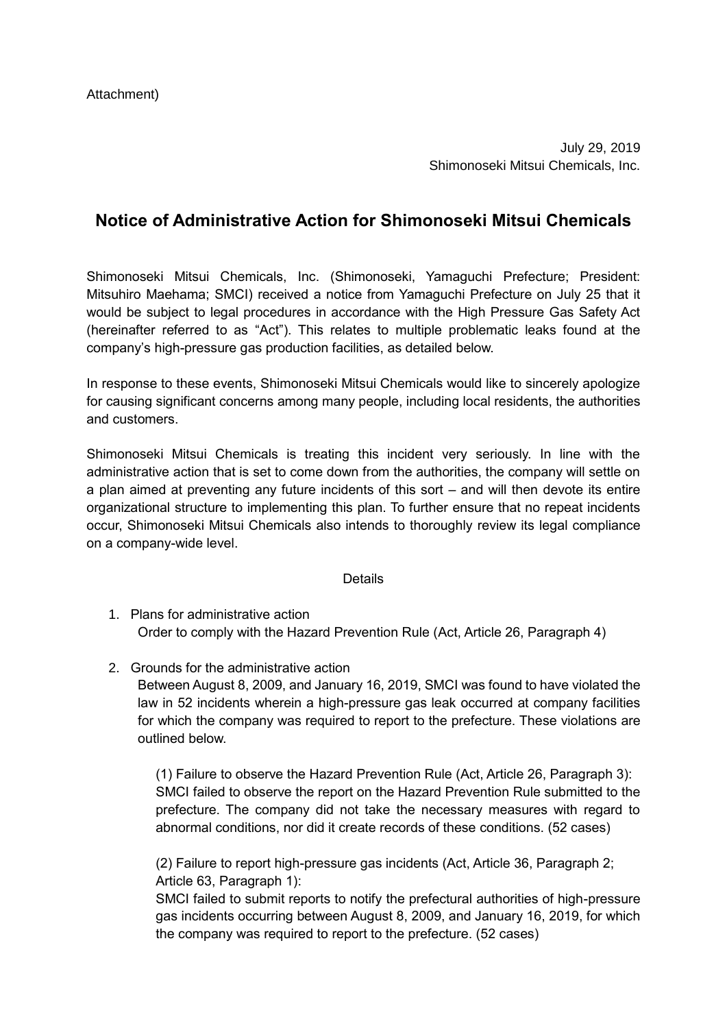July 29, 2019 Shimonoseki Mitsui Chemicals, Inc.

# **Notice of Administrative Action for Shimonoseki Mitsui Chemicals**

Shimonoseki Mitsui Chemicals, Inc. (Shimonoseki, Yamaguchi Prefecture; President: Mitsuhiro Maehama; SMCI) received a notice from Yamaguchi Prefecture on July 25 that it would be subject to legal procedures in accordance with the High Pressure Gas Safety Act (hereinafter referred to as "Act"). This relates to multiple problematic leaks found at the company's high-pressure gas production facilities, as detailed below.

In response to these events, Shimonoseki Mitsui Chemicals would like to sincerely apologize for causing significant concerns among many people, including local residents, the authorities and customers.

Shimonoseki Mitsui Chemicals is treating this incident very seriously. In line with the administrative action that is set to come down from the authorities, the company will settle on a plan aimed at preventing any future incidents of this sort – and will then devote its entire organizational structure to implementing this plan. To further ensure that no repeat incidents occur, Shimonoseki Mitsui Chemicals also intends to thoroughly review its legal compliance on a company-wide level.

#### Details

- 1. Plans for administrative action Order to comply with the Hazard Prevention Rule (Act, Article 26, Paragraph 4)
- 2. Grounds for the administrative action

Between August 8, 2009, and January 16, 2019, SMCI was found to have violated the law in 52 incidents wherein a high-pressure gas leak occurred at company facilities for which the company was required to report to the prefecture. These violations are outlined below.

(1) Failure to observe the Hazard Prevention Rule (Act, Article 26, Paragraph 3): SMCI failed to observe the report on the Hazard Prevention Rule submitted to the prefecture. The company did not take the necessary measures with regard to abnormal conditions, nor did it create records of these conditions. (52 cases)

(2) Failure to report high-pressure gas incidents (Act, Article 36, Paragraph 2; Article 63, Paragraph 1):

SMCI failed to submit reports to notify the prefectural authorities of high-pressure gas incidents occurring between August 8, 2009, and January 16, 2019, for which the company was required to report to the prefecture. (52 cases)